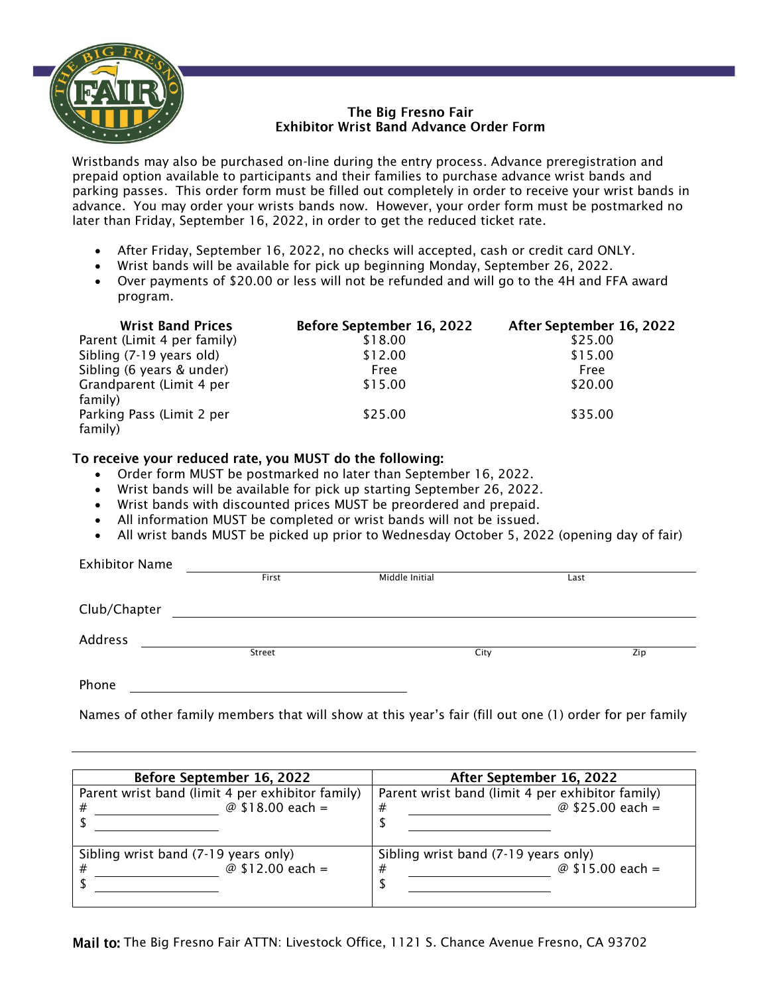

## The Bia Fresno Fair **Exhibitor Wrist Band Advance Order Form**

Wristbands may also be purchased on-line during the entry process. Advance preregistration and prepaid option available to participants and their families to purchase advance wrist bands and parking passes. This order form must be filled out completely in order to receive your wrist bands in advance. You may order your wrists bands now. However, your order form must be postmarked no later than Friday, September 16, 2022, in order to get the reduced ticket rate.

- After Friday, September 16, 2022, no checks will accepted, cash or credit card ONLY.
- Wrist bands will be available for pick up beginning Monday, September 26, 2022.
- Over payments of \$20.00 or less will not be refunded and will go to the 4H and FFA award program.

| <b>Wrist Band Prices</b>             | Before September 16, 2022 | After September 16, 2022 |
|--------------------------------------|---------------------------|--------------------------|
| Parent (Limit 4 per family)          | \$18.00                   | \$25.00                  |
| Sibling (7-19 years old)             | \$12.00                   | \$15.00                  |
| Sibling (6 years & under)            | Free                      | Free                     |
| Grandparent (Limit 4 per             | \$15.00                   | \$20.00                  |
| family)                              |                           |                          |
| Parking Pass (Limit 2 per<br>family) | \$25.00                   | \$35.00                  |

## To receive your reduced rate, you MUST do the following:

- Order form MUST be postmarked no later than September 16, 2022.
- Wrist bands will be available for pick up starting September 26, 2022.
- Wrist bands with discounted prices MUST be preordered and prepaid.
- All information MUST be completed or wrist bands will not be issued.
- All wrist bands MUST be picked up prior to Wednesday October 5, 2022 (opening day of fair)

| <b>Exhibitor Name</b> |        |                |      |
|-----------------------|--------|----------------|------|
|                       | First  | Middle Initial | Last |
|                       |        |                |      |
| Club/Chapter          |        |                |      |
|                       |        |                |      |
| Address               |        |                |      |
|                       | Street | City           | Zip  |
|                       |        |                |      |
| Phone                 |        |                |      |

Names of other family members that will show at this year's fair (fill out one (1) order for per family

| Before September 16, 2022                                             | After September 16, 2022                                                  |  |  |
|-----------------------------------------------------------------------|---------------------------------------------------------------------------|--|--|
| Parent wrist band (limit 4 per exhibitor family)<br>@ $$18.00$ each = | Parent wrist band (limit 4 per exhibitor family)<br>@ \$25.00 each =<br># |  |  |
| Sibling wrist band (7-19 years only)<br>@ \$12.00 each =              | Sibling wrist band (7-19 years only)<br>@ \$15.00 each =<br>#             |  |  |
|                                                                       |                                                                           |  |  |